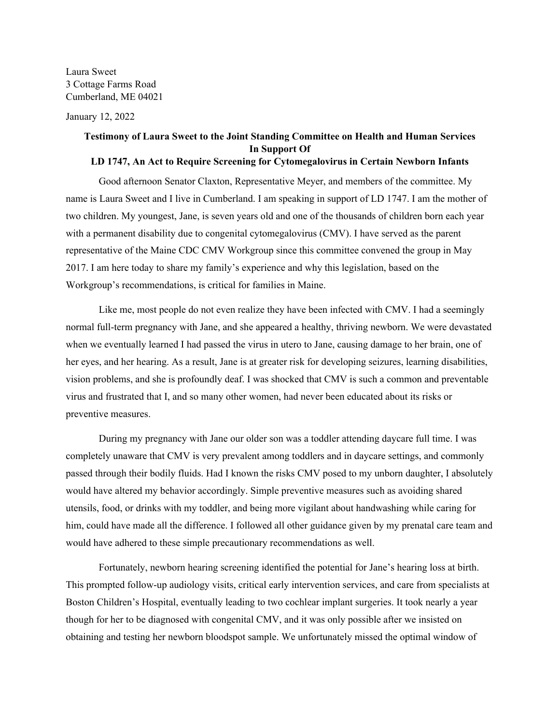Laura Sweet 3 Cottage Farms Road Cumberland, ME 04021

January 12, 2022

## **Testimony of Laura Sweet to the Joint Standing Committee on Health and Human Services In Support Of**

## **LD 1747, An Act to Require Screening for Cytomegalovirus in Certain Newborn Infants**

Good afternoon Senator Claxton, Representative Meyer, and members of the committee. My name is Laura Sweet and I live in Cumberland. I am speaking in support of LD 1747. I am the mother of two children. My youngest, Jane, is seven years old and one of the thousands of children born each year with a permanent disability due to congenital cytomegalovirus (CMV). I have served as the parent representative of the Maine CDC CMV Workgroup since this committee convened the group in May 2017. I am here today to share my family's experience and why this legislation, based on the Workgroup's recommendations, is critical for families in Maine.

Like me, most people do not even realize they have been infected with CMV. I had a seemingly normal full-term pregnancy with Jane, and she appeared a healthy, thriving newborn. We were devastated when we eventually learned I had passed the virus in utero to Jane, causing damage to her brain, one of her eyes, and her hearing. As a result, Jane is at greater risk for developing seizures, learning disabilities, vision problems, and she is profoundly deaf. I was shocked that CMV is such a common and preventable virus and frustrated that I, and so many other women, had never been educated about its risks or preventive measures.

During my pregnancy with Jane our older son was a toddler attending daycare full time. I was completely unaware that CMV is very prevalent among toddlers and in daycare settings, and commonly passed through their bodily fluids. Had I known the risks CMV posed to my unborn daughter, I absolutely would have altered my behavior accordingly. Simple preventive measures such as avoiding shared utensils, food, or drinks with my toddler, and being more vigilant about handwashing while caring for him, could have made all the difference. I followed all other guidance given by my prenatal care team and would have adhered to these simple precautionary recommendations as well.

Fortunately, newborn hearing screening identified the potential for Jane's hearing loss at birth. This prompted follow-up audiology visits, critical early intervention services, and care from specialists at Boston Children's Hospital, eventually leading to two cochlear implant surgeries. It took nearly a year though for her to be diagnosed with congenital CMV, and it was only possible after we insisted on obtaining and testing her newborn bloodspot sample. We unfortunately missed the optimal window of